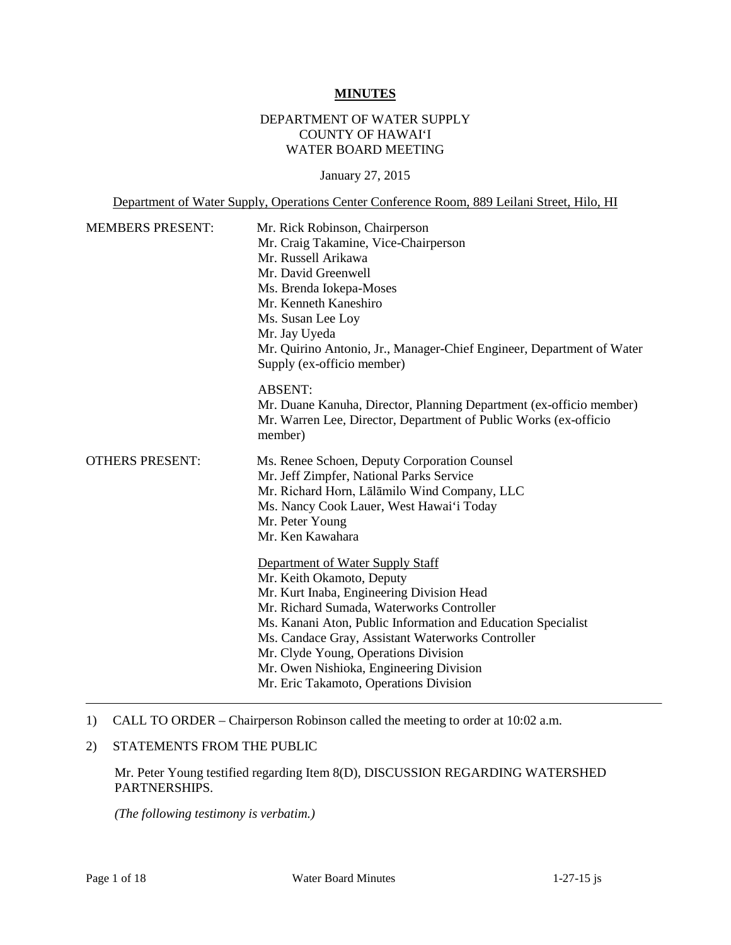#### **MINUTES**

# DEPARTMENT OF WATER SUPPLY COUNTY OF HAWAI'I WATER BOARD MEETING

January 27, 2015

Department of Water Supply, Operations Center Conference Room, 889 Leilani Street, Hilo, HI

| <b>MEMBERS PRESENT:</b> | Mr. Rick Robinson, Chairperson<br>Mr. Craig Takamine, Vice-Chairperson<br>Mr. Russell Arikawa<br>Mr. David Greenwell<br>Ms. Brenda Iokepa-Moses<br>Mr. Kenneth Kaneshiro<br>Ms. Susan Lee Loy<br>Mr. Jay Uyeda<br>Mr. Quirino Antonio, Jr., Manager-Chief Engineer, Department of Water<br>Supply (ex-officio member)                                                                                     |
|-------------------------|-----------------------------------------------------------------------------------------------------------------------------------------------------------------------------------------------------------------------------------------------------------------------------------------------------------------------------------------------------------------------------------------------------------|
|                         | <b>ABSENT:</b><br>Mr. Duane Kanuha, Director, Planning Department (ex-officio member)<br>Mr. Warren Lee, Director, Department of Public Works (ex-officio<br>member)                                                                                                                                                                                                                                      |
| <b>OTHERS PRESENT:</b>  | Ms. Renee Schoen, Deputy Corporation Counsel<br>Mr. Jeff Zimpfer, National Parks Service<br>Mr. Richard Horn, Lālāmilo Wind Company, LLC<br>Ms. Nancy Cook Lauer, West Hawai'i Today<br>Mr. Peter Young<br>Mr. Ken Kawahara                                                                                                                                                                               |
|                         | Department of Water Supply Staff<br>Mr. Keith Okamoto, Deputy<br>Mr. Kurt Inaba, Engineering Division Head<br>Mr. Richard Sumada, Waterworks Controller<br>Ms. Kanani Aton, Public Information and Education Specialist<br>Ms. Candace Gray, Assistant Waterworks Controller<br>Mr. Clyde Young, Operations Division<br>Mr. Owen Nishioka, Engineering Division<br>Mr. Eric Takamoto, Operations Division |

#### 1) CALL TO ORDER – Chairperson Robinson called the meeting to order at 10:02 a.m.

# 2) STATEMENTS FROM THE PUBLIC

Mr. Peter Young testified regarding Item 8(D), DISCUSSION REGARDING WATERSHED PARTNERSHIPS.

*(The following testimony is verbatim.)*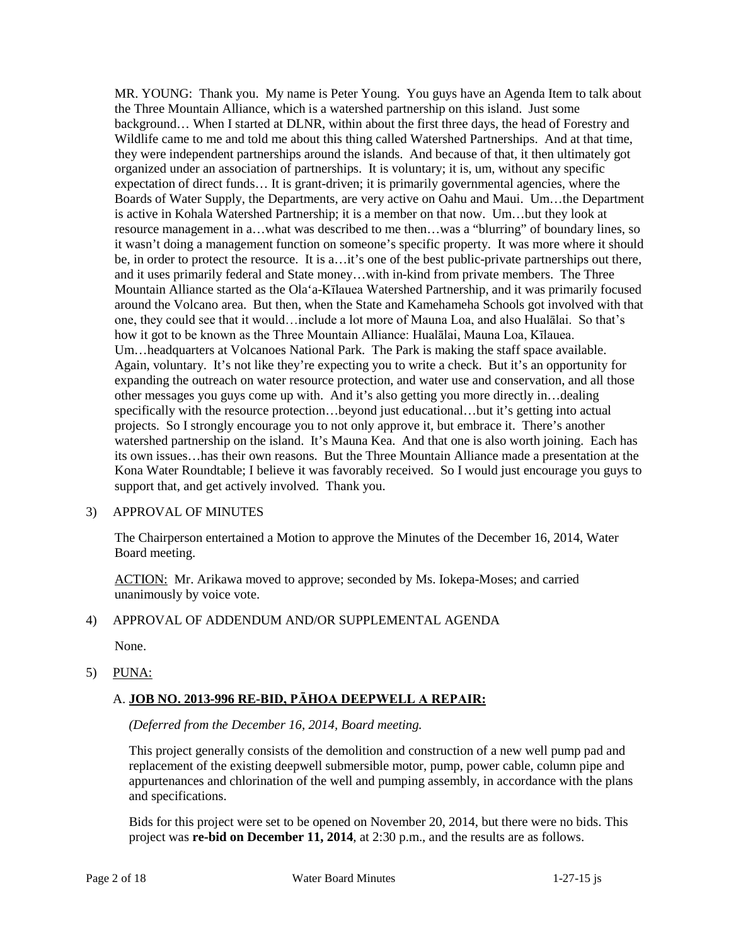MR. YOUNG: Thank you. My name is Peter Young. You guys have an Agenda Item to talk about the Three Mountain Alliance, which is a watershed partnership on this island. Just some background… When I started at DLNR, within about the first three days, the head of Forestry and Wildlife came to me and told me about this thing called Watershed Partnerships. And at that time, they were independent partnerships around the islands. And because of that, it then ultimately got organized under an association of partnerships. It is voluntary; it is, um, without any specific expectation of direct funds… It is grant-driven; it is primarily governmental agencies, where the Boards of Water Supply, the Departments, are very active on Oahu and Maui. Um…the Department is active in Kohala Watershed Partnership; it is a member on that now. Um…but they look at resource management in a…what was described to me then…was a "blurring" of boundary lines, so it wasn't doing a management function on someone's specific property. It was more where it should be, in order to protect the resource. It is a…it's one of the best public-private partnerships out there, and it uses primarily federal and State money…with in-kind from private members. The Three Mountain Alliance started as the Ola'a-Kīlauea Watershed Partnership, and it was primarily focused around the Volcano area. But then, when the State and Kamehameha Schools got involved with that one, they could see that it would…include a lot more of Mauna Loa, and also Hualālai. So that's how it got to be known as the Three Mountain Alliance: Hualālai, Mauna Loa, Kīlauea. Um…headquarters at Volcanoes National Park. The Park is making the staff space available. Again, voluntary. It's not like they're expecting you to write a check. But it's an opportunity for expanding the outreach on water resource protection, and water use and conservation, and all those other messages you guys come up with. And it's also getting you more directly in…dealing specifically with the resource protection…beyond just educational…but it's getting into actual projects. So I strongly encourage you to not only approve it, but embrace it. There's another watershed partnership on the island. It's Mauna Kea. And that one is also worth joining. Each has its own issues…has their own reasons. But the Three Mountain Alliance made a presentation at the Kona Water Roundtable; I believe it was favorably received. So I would just encourage you guys to support that, and get actively involved. Thank you.

### 3) APPROVAL OF MINUTES

The Chairperson entertained a Motion to approve the Minutes of the December 16, 2014, Water Board meeting.

ACTION: Mr. Arikawa moved to approve; seconded by Ms. Iokepa-Moses; and carried unanimously by voice vote.

### 4) APPROVAL OF ADDENDUM AND/OR SUPPLEMENTAL AGENDA

None.

### 5) PUNA:

# A. **JOB NO. 2013-996 RE-BID, PĀHOA DEEPWELL A REPAIR:**

### *(Deferred from the December 16, 2014, Board meeting.*

This project generally consists of the demolition and construction of a new well pump pad and replacement of the existing deepwell submersible motor, pump, power cable, column pipe and appurtenances and chlorination of the well and pumping assembly, in accordance with the plans and specifications.

Bids for this project were set to be opened on November 20, 2014, but there were no bids. This project was **re-bid on December 11, 2014**, at 2:30 p.m., and the results are as follows.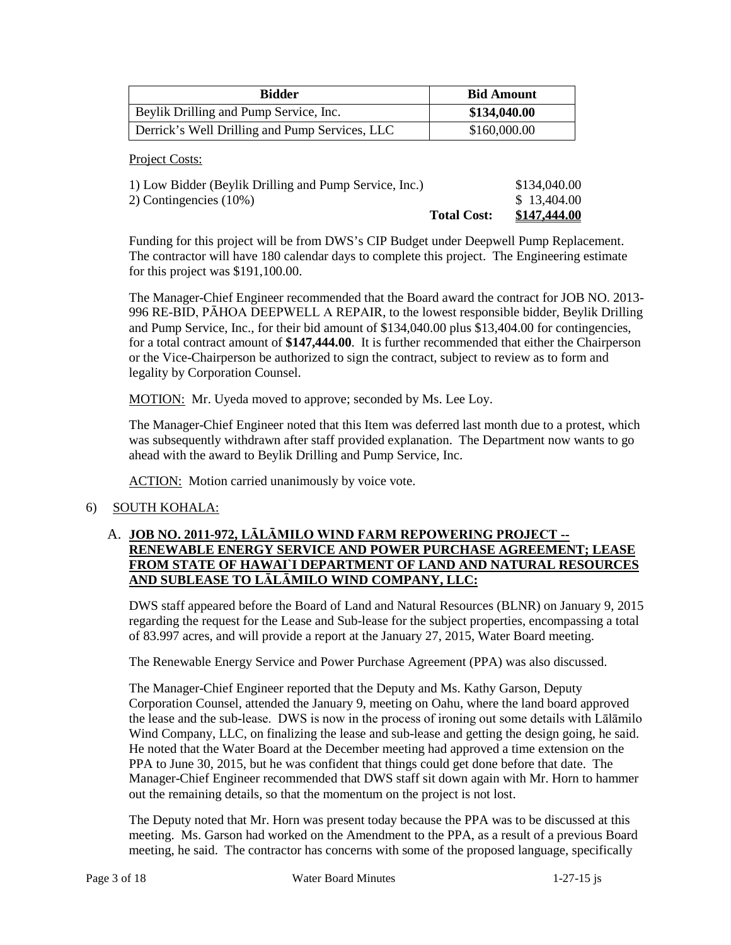| <b>Bidder</b>                                  | <b>Bid Amount</b> |  |
|------------------------------------------------|-------------------|--|
| Beylik Drilling and Pump Service, Inc.         | \$134,040.00      |  |
| Derrick's Well Drilling and Pump Services, LLC | \$160,000.00      |  |

Project Costs:

|                                                        | <b>Total Cost:</b> | <u>\$147,444.00</u> |
|--------------------------------------------------------|--------------------|---------------------|
| 2) Contingencies $(10\%)$                              |                    | \$13,404.00         |
| 1) Low Bidder (Beylik Drilling and Pump Service, Inc.) |                    | \$134,040.00        |

Funding for this project will be from DWS's CIP Budget under Deepwell Pump Replacement. The contractor will have 180 calendar days to complete this project. The Engineering estimate for this project was \$191,100.00.

The Manager-Chief Engineer recommended that the Board award the contract for JOB NO. 2013- 996 RE-BID, PĀHOA DEEPWELL A REPAIR, to the lowest responsible bidder, Beylik Drilling and Pump Service, Inc., for their bid amount of \$134,040.00 plus \$13,404.00 for contingencies, for a total contract amount of **\$147,444.00**. It is further recommended that either the Chairperson or the Vice-Chairperson be authorized to sign the contract, subject to review as to form and legality by Corporation Counsel.

MOTION: Mr. Uyeda moved to approve; seconded by Ms. Lee Loy.

The Manager-Chief Engineer noted that this Item was deferred last month due to a protest, which was subsequently withdrawn after staff provided explanation. The Department now wants to go ahead with the award to Beylik Drilling and Pump Service, Inc.

ACTION: Motion carried unanimously by voice vote.

### 6) SOUTH KOHALA:

# A. **JOB NO. 2011-972, LĀLĀMILO WIND FARM REPOWERING PROJECT -- RENEWABLE ENERGY SERVICE AND POWER PURCHASE AGREEMENT; LEASE FROM STATE OF HAWAI`I DEPARTMENT OF LAND AND NATURAL RESOURCES AND SUBLEASE TO LĀLĀMILO WIND COMPANY, LLC:**

DWS staff appeared before the Board of Land and Natural Resources (BLNR) on January 9, 2015 regarding the request for the Lease and Sub-lease for the subject properties, encompassing a total of 83.997 acres, and will provide a report at the January 27, 2015, Water Board meeting.

The Renewable Energy Service and Power Purchase Agreement (PPA) was also discussed.

The Manager-Chief Engineer reported that the Deputy and Ms. Kathy Garson, Deputy Corporation Counsel, attended the January 9, meeting on Oahu, where the land board approved the lease and the sub-lease. DWS is now in the process of ironing out some details with Lālāmilo Wind Company, LLC, on finalizing the lease and sub-lease and getting the design going, he said. He noted that the Water Board at the December meeting had approved a time extension on the PPA to June 30, 2015, but he was confident that things could get done before that date. The Manager-Chief Engineer recommended that DWS staff sit down again with Mr. Horn to hammer out the remaining details, so that the momentum on the project is not lost.

The Deputy noted that Mr. Horn was present today because the PPA was to be discussed at this meeting. Ms. Garson had worked on the Amendment to the PPA, as a result of a previous Board meeting, he said. The contractor has concerns with some of the proposed language, specifically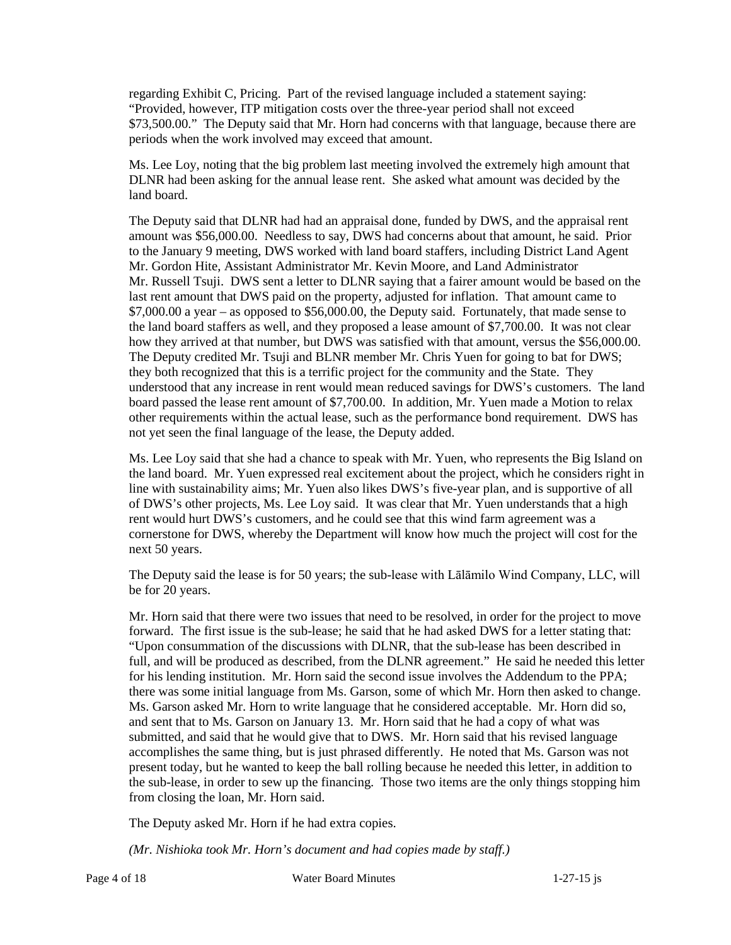regarding Exhibit C, Pricing. Part of the revised language included a statement saying: "Provided, however, ITP mitigation costs over the three-year period shall not exceed \$73,500.00." The Deputy said that Mr. Horn had concerns with that language, because there are periods when the work involved may exceed that amount.

Ms. Lee Loy, noting that the big problem last meeting involved the extremely high amount that DLNR had been asking for the annual lease rent. She asked what amount was decided by the land board.

The Deputy said that DLNR had had an appraisal done, funded by DWS, and the appraisal rent amount was \$56,000.00. Needless to say, DWS had concerns about that amount, he said. Prior to the January 9 meeting, DWS worked with land board staffers, including District Land Agent Mr. Gordon Hite, Assistant Administrator Mr. Kevin Moore, and Land Administrator Mr. Russell Tsuji. DWS sent a letter to DLNR saying that a fairer amount would be based on the last rent amount that DWS paid on the property, adjusted for inflation. That amount came to \$7,000.00 a year – as opposed to \$56,000.00, the Deputy said. Fortunately, that made sense to the land board staffers as well, and they proposed a lease amount of \$7,700.00. It was not clear how they arrived at that number, but DWS was satisfied with that amount, versus the \$56,000.00. The Deputy credited Mr. Tsuji and BLNR member Mr. Chris Yuen for going to bat for DWS; they both recognized that this is a terrific project for the community and the State. They understood that any increase in rent would mean reduced savings for DWS's customers. The land board passed the lease rent amount of \$7,700.00. In addition, Mr. Yuen made a Motion to relax other requirements within the actual lease, such as the performance bond requirement. DWS has not yet seen the final language of the lease, the Deputy added.

Ms. Lee Loy said that she had a chance to speak with Mr. Yuen, who represents the Big Island on the land board. Mr. Yuen expressed real excitement about the project, which he considers right in line with sustainability aims; Mr. Yuen also likes DWS's five-year plan, and is supportive of all of DWS's other projects, Ms. Lee Loy said. It was clear that Mr. Yuen understands that a high rent would hurt DWS's customers, and he could see that this wind farm agreement was a cornerstone for DWS, whereby the Department will know how much the project will cost for the next 50 years.

The Deputy said the lease is for 50 years; the sub-lease with Lālāmilo Wind Company, LLC, will be for 20 years.

Mr. Horn said that there were two issues that need to be resolved, in order for the project to move forward. The first issue is the sub-lease; he said that he had asked DWS for a letter stating that: "Upon consummation of the discussions with DLNR, that the sub-lease has been described in full, and will be produced as described, from the DLNR agreement." He said he needed this letter for his lending institution. Mr. Horn said the second issue involves the Addendum to the PPA; there was some initial language from Ms. Garson, some of which Mr. Horn then asked to change. Ms. Garson asked Mr. Horn to write language that he considered acceptable. Mr. Horn did so, and sent that to Ms. Garson on January 13. Mr. Horn said that he had a copy of what was submitted, and said that he would give that to DWS. Mr. Horn said that his revised language accomplishes the same thing, but is just phrased differently. He noted that Ms. Garson was not present today, but he wanted to keep the ball rolling because he needed this letter, in addition to the sub-lease, in order to sew up the financing. Those two items are the only things stopping him from closing the loan, Mr. Horn said.

The Deputy asked Mr. Horn if he had extra copies.

*(Mr. Nishioka took Mr. Horn's document and had copies made by staff.)*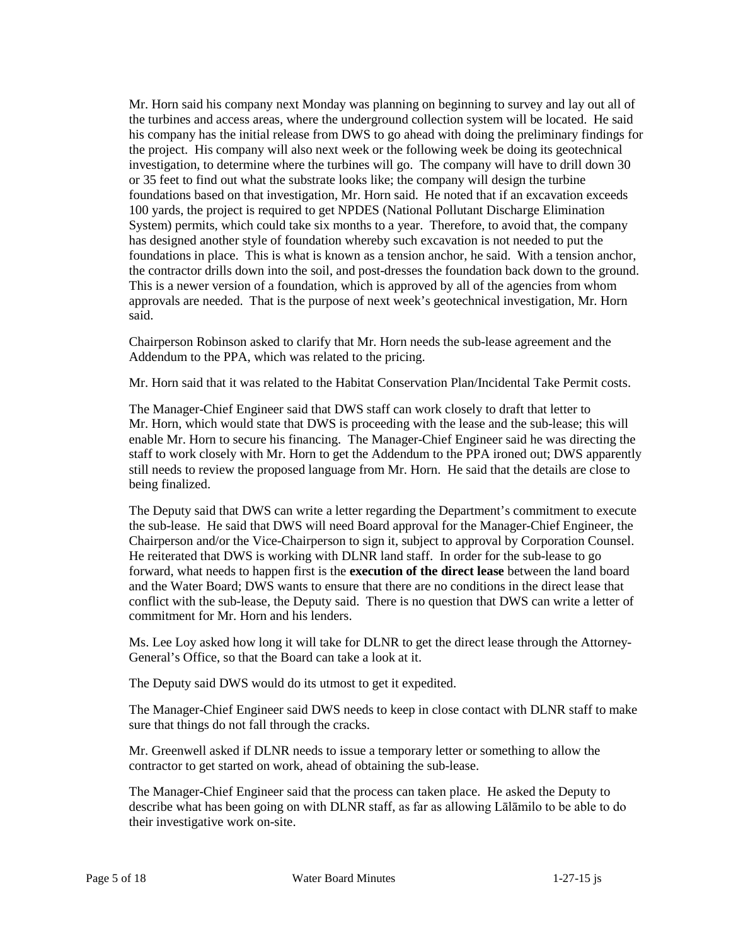Mr. Horn said his company next Monday was planning on beginning to survey and lay out all of the turbines and access areas, where the underground collection system will be located. He said his company has the initial release from DWS to go ahead with doing the preliminary findings for the project. His company will also next week or the following week be doing its geotechnical investigation, to determine where the turbines will go. The company will have to drill down 30 or 35 feet to find out what the substrate looks like; the company will design the turbine foundations based on that investigation, Mr. Horn said. He noted that if an excavation exceeds 100 yards, the project is required to get NPDES (National Pollutant Discharge Elimination System) permits, which could take six months to a year. Therefore, to avoid that, the company has designed another style of foundation whereby such excavation is not needed to put the foundations in place. This is what is known as a tension anchor, he said. With a tension anchor, the contractor drills down into the soil, and post-dresses the foundation back down to the ground. This is a newer version of a foundation, which is approved by all of the agencies from whom approvals are needed. That is the purpose of next week's geotechnical investigation, Mr. Horn said.

Chairperson Robinson asked to clarify that Mr. Horn needs the sub-lease agreement and the Addendum to the PPA, which was related to the pricing.

Mr. Horn said that it was related to the Habitat Conservation Plan/Incidental Take Permit costs.

The Manager-Chief Engineer said that DWS staff can work closely to draft that letter to Mr. Horn, which would state that DWS is proceeding with the lease and the sub-lease; this will enable Mr. Horn to secure his financing. The Manager-Chief Engineer said he was directing the staff to work closely with Mr. Horn to get the Addendum to the PPA ironed out; DWS apparently still needs to review the proposed language from Mr. Horn. He said that the details are close to being finalized.

The Deputy said that DWS can write a letter regarding the Department's commitment to execute the sub-lease. He said that DWS will need Board approval for the Manager-Chief Engineer, the Chairperson and/or the Vice-Chairperson to sign it, subject to approval by Corporation Counsel. He reiterated that DWS is working with DLNR land staff. In order for the sub-lease to go forward, what needs to happen first is the **execution of the direct lease** between the land board and the Water Board; DWS wants to ensure that there are no conditions in the direct lease that conflict with the sub-lease, the Deputy said. There is no question that DWS can write a letter of commitment for Mr. Horn and his lenders.

Ms. Lee Loy asked how long it will take for DLNR to get the direct lease through the Attorney-General's Office, so that the Board can take a look at it.

The Deputy said DWS would do its utmost to get it expedited.

The Manager-Chief Engineer said DWS needs to keep in close contact with DLNR staff to make sure that things do not fall through the cracks.

Mr. Greenwell asked if DLNR needs to issue a temporary letter or something to allow the contractor to get started on work, ahead of obtaining the sub-lease.

The Manager-Chief Engineer said that the process can taken place. He asked the Deputy to describe what has been going on with DLNR staff, as far as allowing Lālāmilo to be able to do their investigative work on-site.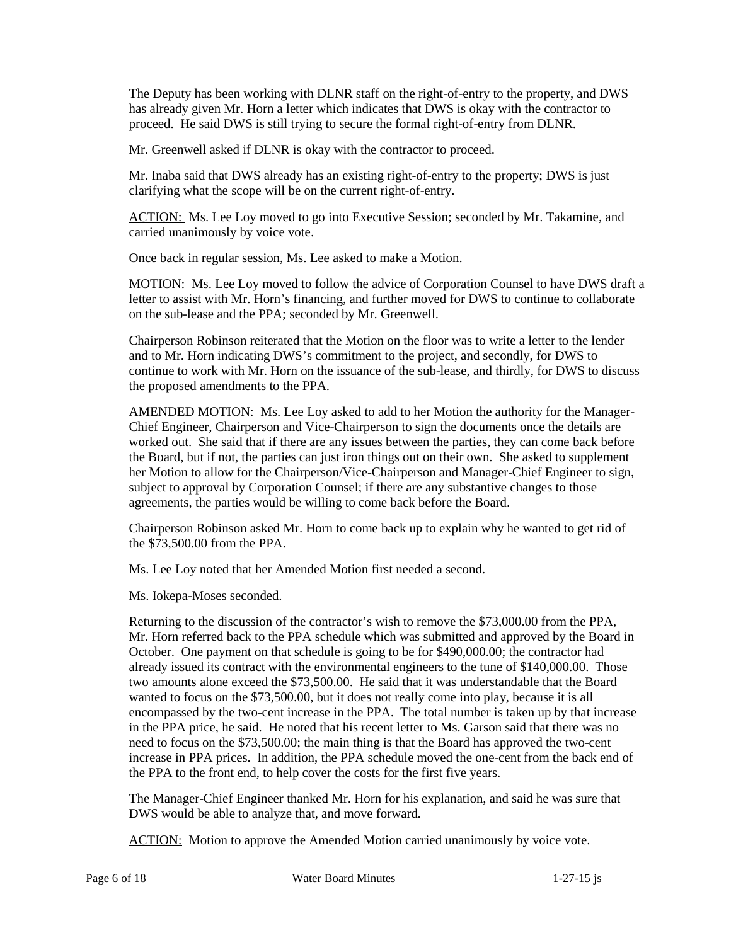The Deputy has been working with DLNR staff on the right-of-entry to the property, and DWS has already given Mr. Horn a letter which indicates that DWS is okay with the contractor to proceed. He said DWS is still trying to secure the formal right-of-entry from DLNR.

Mr. Greenwell asked if DLNR is okay with the contractor to proceed.

Mr. Inaba said that DWS already has an existing right-of-entry to the property; DWS is just clarifying what the scope will be on the current right-of-entry.

ACTION: Ms. Lee Loy moved to go into Executive Session; seconded by Mr. Takamine, and carried unanimously by voice vote.

Once back in regular session, Ms. Lee asked to make a Motion.

MOTION: Ms. Lee Loy moved to follow the advice of Corporation Counsel to have DWS draft a letter to assist with Mr. Horn's financing, and further moved for DWS to continue to collaborate on the sub-lease and the PPA; seconded by Mr. Greenwell.

Chairperson Robinson reiterated that the Motion on the floor was to write a letter to the lender and to Mr. Horn indicating DWS's commitment to the project, and secondly, for DWS to continue to work with Mr. Horn on the issuance of the sub-lease, and thirdly, for DWS to discuss the proposed amendments to the PPA.

AMENDED MOTION: Ms. Lee Loy asked to add to her Motion the authority for the Manager-Chief Engineer, Chairperson and Vice-Chairperson to sign the documents once the details are worked out. She said that if there are any issues between the parties, they can come back before the Board, but if not, the parties can just iron things out on their own. She asked to supplement her Motion to allow for the Chairperson/Vice-Chairperson and Manager-Chief Engineer to sign, subject to approval by Corporation Counsel; if there are any substantive changes to those agreements, the parties would be willing to come back before the Board.

Chairperson Robinson asked Mr. Horn to come back up to explain why he wanted to get rid of the \$73,500.00 from the PPA.

Ms. Lee Loy noted that her Amended Motion first needed a second.

Ms. Iokepa-Moses seconded.

Returning to the discussion of the contractor's wish to remove the \$73,000.00 from the PPA, Mr. Horn referred back to the PPA schedule which was submitted and approved by the Board in October. One payment on that schedule is going to be for \$490,000.00; the contractor had already issued its contract with the environmental engineers to the tune of \$140,000.00. Those two amounts alone exceed the \$73,500.00. He said that it was understandable that the Board wanted to focus on the \$73,500.00, but it does not really come into play, because it is all encompassed by the two-cent increase in the PPA. The total number is taken up by that increase in the PPA price, he said. He noted that his recent letter to Ms. Garson said that there was no need to focus on the \$73,500.00; the main thing is that the Board has approved the two-cent increase in PPA prices. In addition, the PPA schedule moved the one-cent from the back end of the PPA to the front end, to help cover the costs for the first five years.

The Manager-Chief Engineer thanked Mr. Horn for his explanation, and said he was sure that DWS would be able to analyze that, and move forward.

ACTION: Motion to approve the Amended Motion carried unanimously by voice vote.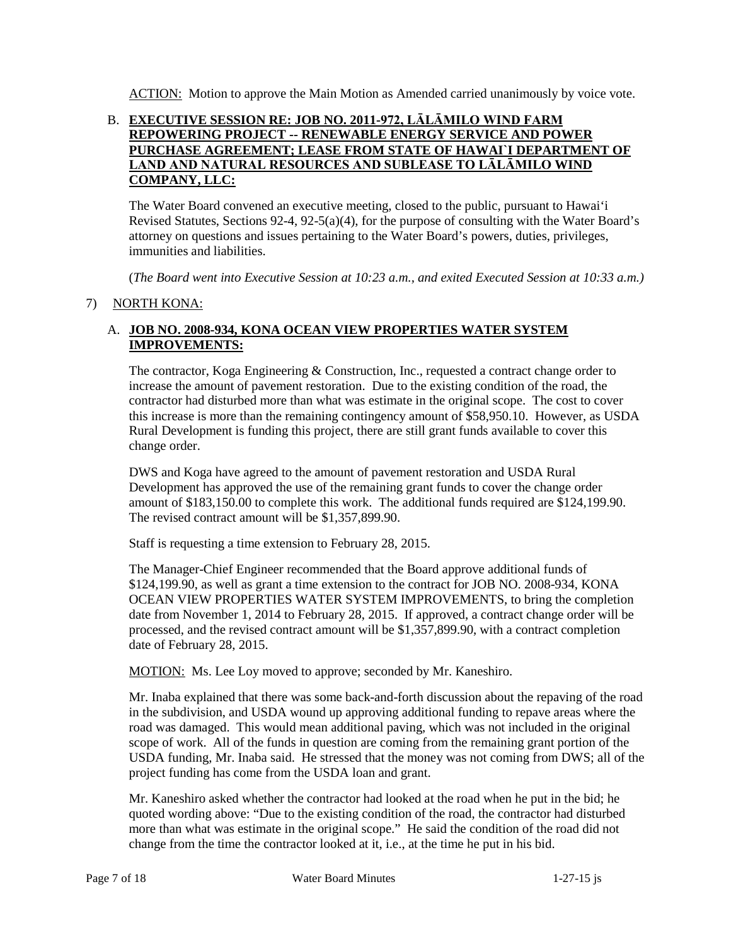ACTION: Motion to approve the Main Motion as Amended carried unanimously by voice vote.

### B. **EXECUTIVE SESSION RE: JOB NO. 2011-972, LĀLĀMILO WIND FARM REPOWERING PROJECT -- RENEWABLE ENERGY SERVICE AND POWER PURCHASE AGREEMENT; LEASE FROM STATE OF HAWAI`I DEPARTMENT OF LAND AND NATURAL RESOURCES AND SUBLEASE TO LĀLĀMILO WIND COMPANY, LLC:**

The Water Board convened an executive meeting, closed to the public, pursuant to Hawai'i Revised Statutes, Sections 92-4, 92-5(a)(4), for the purpose of consulting with the Water Board's attorney on questions and issues pertaining to the Water Board's powers, duties, privileges, immunities and liabilities.

(*The Board went into Executive Session at 10:23 a.m., and exited Executed Session at 10:33 a.m.)*

# 7) NORTH KONA:

# A. **JOB NO. 2008-934, KONA OCEAN VIEW PROPERTIES WATER SYSTEM IMPROVEMENTS:**

The contractor, Koga Engineering & Construction, Inc., requested a contract change order to increase the amount of pavement restoration. Due to the existing condition of the road, the contractor had disturbed more than what was estimate in the original scope. The cost to cover this increase is more than the remaining contingency amount of \$58,950.10. However, as USDA Rural Development is funding this project, there are still grant funds available to cover this change order.

DWS and Koga have agreed to the amount of pavement restoration and USDA Rural Development has approved the use of the remaining grant funds to cover the change order amount of \$183,150.00 to complete this work. The additional funds required are \$124,199.90. The revised contract amount will be \$1,357,899.90.

Staff is requesting a time extension to February 28, 2015.

The Manager-Chief Engineer recommended that the Board approve additional funds of \$124,199.90, as well as grant a time extension to the contract for JOB NO. 2008-934, KONA OCEAN VIEW PROPERTIES WATER SYSTEM IMPROVEMENTS, to bring the completion date from November 1, 2014 to February 28, 2015. If approved, a contract change order will be processed, and the revised contract amount will be \$1,357,899.90, with a contract completion date of February 28, 2015.

MOTION: Ms. Lee Loy moved to approve; seconded by Mr. Kaneshiro.

Mr. Inaba explained that there was some back-and-forth discussion about the repaving of the road in the subdivision, and USDA wound up approving additional funding to repave areas where the road was damaged. This would mean additional paving, which was not included in the original scope of work. All of the funds in question are coming from the remaining grant portion of the USDA funding, Mr. Inaba said. He stressed that the money was not coming from DWS; all of the project funding has come from the USDA loan and grant.

Mr. Kaneshiro asked whether the contractor had looked at the road when he put in the bid; he quoted wording above: "Due to the existing condition of the road, the contractor had disturbed more than what was estimate in the original scope." He said the condition of the road did not change from the time the contractor looked at it, i.e., at the time he put in his bid.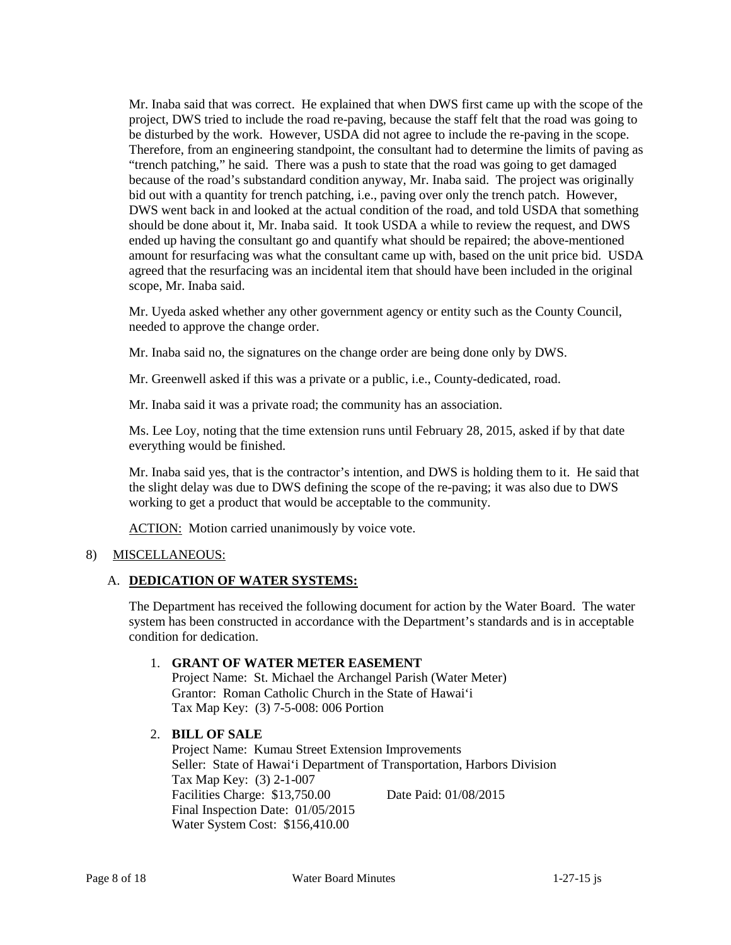Mr. Inaba said that was correct. He explained that when DWS first came up with the scope of the project, DWS tried to include the road re-paving, because the staff felt that the road was going to be disturbed by the work. However, USDA did not agree to include the re-paving in the scope. Therefore, from an engineering standpoint, the consultant had to determine the limits of paving as "trench patching," he said. There was a push to state that the road was going to get damaged because of the road's substandard condition anyway, Mr. Inaba said. The project was originally bid out with a quantity for trench patching, i.e., paving over only the trench patch. However, DWS went back in and looked at the actual condition of the road, and told USDA that something should be done about it, Mr. Inaba said. It took USDA a while to review the request, and DWS ended up having the consultant go and quantify what should be repaired; the above-mentioned amount for resurfacing was what the consultant came up with, based on the unit price bid. USDA agreed that the resurfacing was an incidental item that should have been included in the original scope, Mr. Inaba said.

Mr. Uyeda asked whether any other government agency or entity such as the County Council, needed to approve the change order.

Mr. Inaba said no, the signatures on the change order are being done only by DWS.

Mr. Greenwell asked if this was a private or a public, i.e., County-dedicated, road.

Mr. Inaba said it was a private road; the community has an association.

Ms. Lee Loy, noting that the time extension runs until February 28, 2015, asked if by that date everything would be finished.

Mr. Inaba said yes, that is the contractor's intention, and DWS is holding them to it. He said that the slight delay was due to DWS defining the scope of the re-paving; it was also due to DWS working to get a product that would be acceptable to the community.

ACTION: Motion carried unanimously by voice vote.

### 8) MISCELLANEOUS:

### A. **DEDICATION OF WATER SYSTEMS:**

The Department has received the following document for action by the Water Board. The water system has been constructed in accordance with the Department's standards and is in acceptable condition for dedication.

### 1. **GRANT OF WATER METER EASEMENT**

Project Name: St. Michael the Archangel Parish (Water Meter) Grantor: Roman Catholic Church in the State of Hawai'i Tax Map Key: (3) 7-5-008: 006 Portion

# 2. **BILL OF SALE**

Project Name: Kumau Street Extension Improvements Seller: State of Hawai'i Department of Transportation, Harbors Division Tax Map Key: (3) 2-1-007 Facilities Charge: \$13,750.00 Date Paid: 01/08/2015 Final Inspection Date: 01/05/2015 Water System Cost: \$156,410.00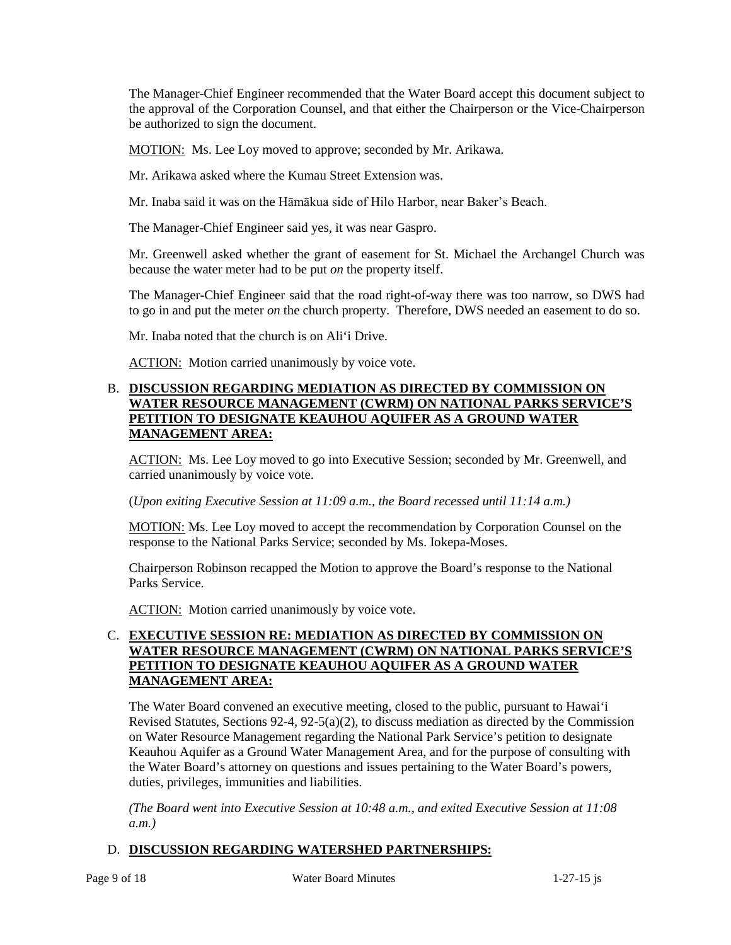The Manager-Chief Engineer recommended that the Water Board accept this document subject to the approval of the Corporation Counsel, and that either the Chairperson or the Vice-Chairperson be authorized to sign the document.

MOTION: Ms. Lee Loy moved to approve; seconded by Mr. Arikawa.

Mr. Arikawa asked where the Kumau Street Extension was.

Mr. Inaba said it was on the Hāmākua side of Hilo Harbor, near Baker's Beach.

The Manager-Chief Engineer said yes, it was near Gaspro.

Mr. Greenwell asked whether the grant of easement for St. Michael the Archangel Church was because the water meter had to be put *on* the property itself.

The Manager-Chief Engineer said that the road right-of-way there was too narrow, so DWS had to go in and put the meter *on* the church property. Therefore, DWS needed an easement to do so.

Mr. Inaba noted that the church is on Ali'i Drive.

ACTION: Motion carried unanimously by voice vote.

### B. **DISCUSSION REGARDING MEDIATION AS DIRECTED BY COMMISSION ON WATER RESOURCE MANAGEMENT (CWRM) ON NATIONAL PARKS SERVICE'S PETITION TO DESIGNATE KEAUHOU AQUIFER AS A GROUND WATER MANAGEMENT AREA:**

ACTION: Ms. Lee Loy moved to go into Executive Session; seconded by Mr. Greenwell, and carried unanimously by voice vote.

(*Upon exiting Executive Session at 11:09 a.m., the Board recessed until 11:14 a.m.)*

**MOTION:** Ms. Lee Loy moved to accept the recommendation by Corporation Counsel on the response to the National Parks Service; seconded by Ms. Iokepa-Moses.

Chairperson Robinson recapped the Motion to approve the Board's response to the National Parks Service.

ACTION: Motion carried unanimously by voice vote.

# C. **EXECUTIVE SESSION RE: MEDIATION AS DIRECTED BY COMMISSION ON WATER RESOURCE MANAGEMENT (CWRM) ON NATIONAL PARKS SERVICE'S PETITION TO DESIGNATE KEAUHOU AQUIFER AS A GROUND WATER MANAGEMENT AREA:**

The Water Board convened an executive meeting, closed to the public, pursuant to Hawai'i Revised Statutes, Sections 92-4, 92-5(a)(2), to discuss mediation as directed by the Commission on Water Resource Management regarding the National Park Service's petition to designate Keauhou Aquifer as a Ground Water Management Area, and for the purpose of consulting with the Water Board's attorney on questions and issues pertaining to the Water Board's powers, duties, privileges, immunities and liabilities.

*(The Board went into Executive Session at 10:48 a.m., and exited Executive Session at 11:08 a.m.)*

# D. **DISCUSSION REGARDING WATERSHED PARTNERSHIPS:**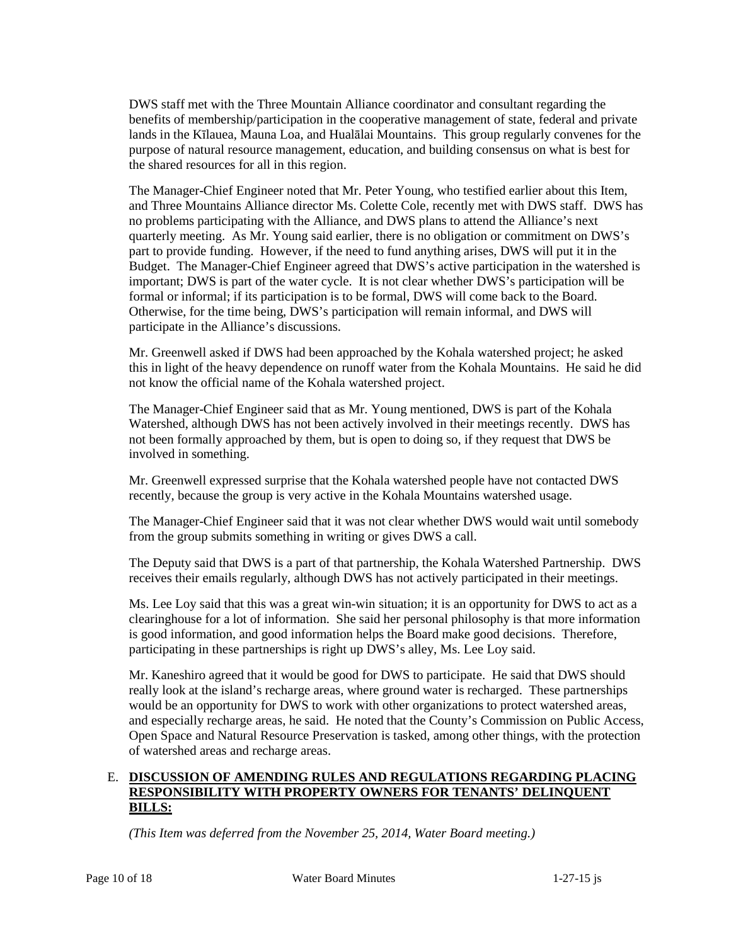DWS staff met with the Three Mountain Alliance coordinator and consultant regarding the benefits of membership/participation in the cooperative management of state, federal and private lands in the Kīlauea, Mauna Loa, and Hualālai Mountains. This group regularly convenes for the purpose of natural resource management, education, and building consensus on what is best for the shared resources for all in this region.

The Manager-Chief Engineer noted that Mr. Peter Young, who testified earlier about this Item, and Three Mountains Alliance director Ms. Colette Cole, recently met with DWS staff. DWS has no problems participating with the Alliance, and DWS plans to attend the Alliance's next quarterly meeting. As Mr. Young said earlier, there is no obligation or commitment on DWS's part to provide funding. However, if the need to fund anything arises, DWS will put it in the Budget. The Manager-Chief Engineer agreed that DWS's active participation in the watershed is important; DWS is part of the water cycle. It is not clear whether DWS's participation will be formal or informal; if its participation is to be formal, DWS will come back to the Board. Otherwise, for the time being, DWS's participation will remain informal, and DWS will participate in the Alliance's discussions.

Mr. Greenwell asked if DWS had been approached by the Kohala watershed project; he asked this in light of the heavy dependence on runoff water from the Kohala Mountains. He said he did not know the official name of the Kohala watershed project.

The Manager-Chief Engineer said that as Mr. Young mentioned, DWS is part of the Kohala Watershed, although DWS has not been actively involved in their meetings recently. DWS has not been formally approached by them, but is open to doing so, if they request that DWS be involved in something.

Mr. Greenwell expressed surprise that the Kohala watershed people have not contacted DWS recently, because the group is very active in the Kohala Mountains watershed usage.

The Manager-Chief Engineer said that it was not clear whether DWS would wait until somebody from the group submits something in writing or gives DWS a call.

The Deputy said that DWS is a part of that partnership, the Kohala Watershed Partnership. DWS receives their emails regularly, although DWS has not actively participated in their meetings.

Ms. Lee Loy said that this was a great win-win situation; it is an opportunity for DWS to act as a clearinghouse for a lot of information. She said her personal philosophy is that more information is good information, and good information helps the Board make good decisions. Therefore, participating in these partnerships is right up DWS's alley, Ms. Lee Loy said.

Mr. Kaneshiro agreed that it would be good for DWS to participate. He said that DWS should really look at the island's recharge areas, where ground water is recharged. These partnerships would be an opportunity for DWS to work with other organizations to protect watershed areas, and especially recharge areas, he said. He noted that the County's Commission on Public Access, Open Space and Natural Resource Preservation is tasked, among other things, with the protection of watershed areas and recharge areas.

### E. **DISCUSSION OF AMENDING RULES AND REGULATIONS REGARDING PLACING RESPONSIBILITY WITH PROPERTY OWNERS FOR TENANTS' DELINQUENT BILLS:**

*(This Item was deferred from the November 25, 2014, Water Board meeting.)*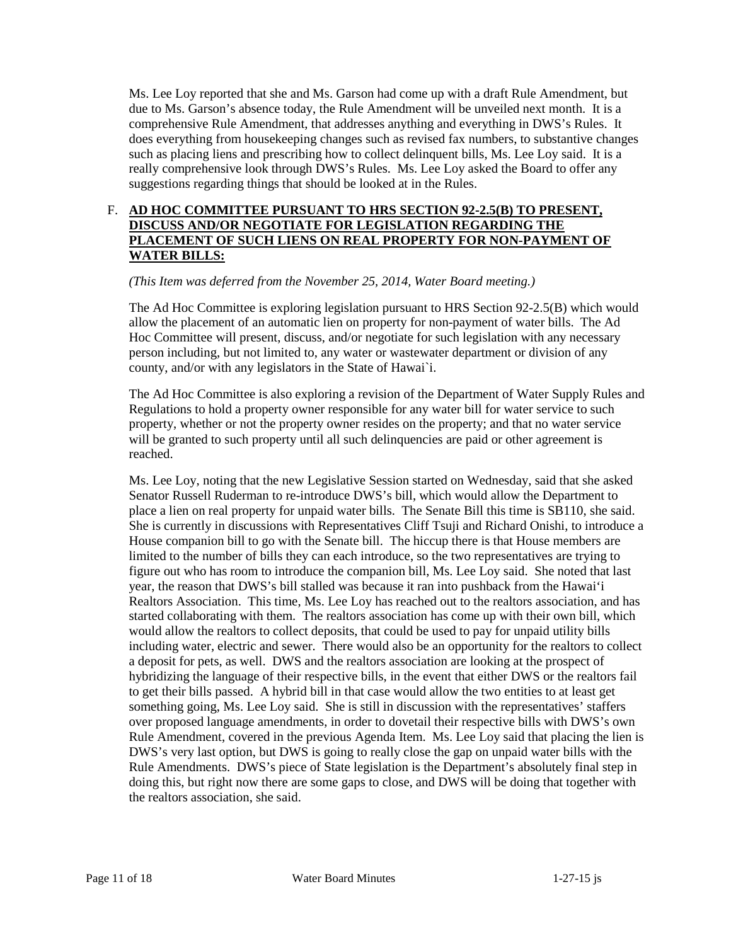Ms. Lee Loy reported that she and Ms. Garson had come up with a draft Rule Amendment, but due to Ms. Garson's absence today, the Rule Amendment will be unveiled next month. It is a comprehensive Rule Amendment, that addresses anything and everything in DWS's Rules. It does everything from housekeeping changes such as revised fax numbers, to substantive changes such as placing liens and prescribing how to collect delinquent bills, Ms. Lee Loy said. It is a really comprehensive look through DWS's Rules. Ms. Lee Loy asked the Board to offer any suggestions regarding things that should be looked at in the Rules.

# F. **AD HOC COMMITTEE PURSUANT TO HRS SECTION 92-2.5(B) TO PRESENT, DISCUSS AND/OR NEGOTIATE FOR LEGISLATION REGARDING THE PLACEMENT OF SUCH LIENS ON REAL PROPERTY FOR NON-PAYMENT OF WATER BILLS:**

*(This Item was deferred from the November 25, 2014, Water Board meeting.)*

The Ad Hoc Committee is exploring legislation pursuant to HRS Section 92-2.5(B) which would allow the placement of an automatic lien on property for non-payment of water bills. The Ad Hoc Committee will present, discuss, and/or negotiate for such legislation with any necessary person including, but not limited to, any water or wastewater department or division of any county, and/or with any legislators in the State of Hawai`i.

The Ad Hoc Committee is also exploring a revision of the Department of Water Supply Rules and Regulations to hold a property owner responsible for any water bill for water service to such property, whether or not the property owner resides on the property; and that no water service will be granted to such property until all such delinquencies are paid or other agreement is reached.

Ms. Lee Loy, noting that the new Legislative Session started on Wednesday, said that she asked Senator Russell Ruderman to re-introduce DWS's bill, which would allow the Department to place a lien on real property for unpaid water bills. The Senate Bill this time is SB110, she said. She is currently in discussions with Representatives Cliff Tsuji and Richard Onishi, to introduce a House companion bill to go with the Senate bill. The hiccup there is that House members are limited to the number of bills they can each introduce, so the two representatives are trying to figure out who has room to introduce the companion bill, Ms. Lee Loy said. She noted that last year, the reason that DWS's bill stalled was because it ran into pushback from the Hawai'i Realtors Association. This time, Ms. Lee Loy has reached out to the realtors association, and has started collaborating with them. The realtors association has come up with their own bill, which would allow the realtors to collect deposits, that could be used to pay for unpaid utility bills including water, electric and sewer. There would also be an opportunity for the realtors to collect a deposit for pets, as well. DWS and the realtors association are looking at the prospect of hybridizing the language of their respective bills, in the event that either DWS or the realtors fail to get their bills passed. A hybrid bill in that case would allow the two entities to at least get something going, Ms. Lee Loy said. She is still in discussion with the representatives' staffers over proposed language amendments, in order to dovetail their respective bills with DWS's own Rule Amendment, covered in the previous Agenda Item. Ms. Lee Loy said that placing the lien is DWS's very last option, but DWS is going to really close the gap on unpaid water bills with the Rule Amendments. DWS's piece of State legislation is the Department's absolutely final step in doing this, but right now there are some gaps to close, and DWS will be doing that together with the realtors association, she said.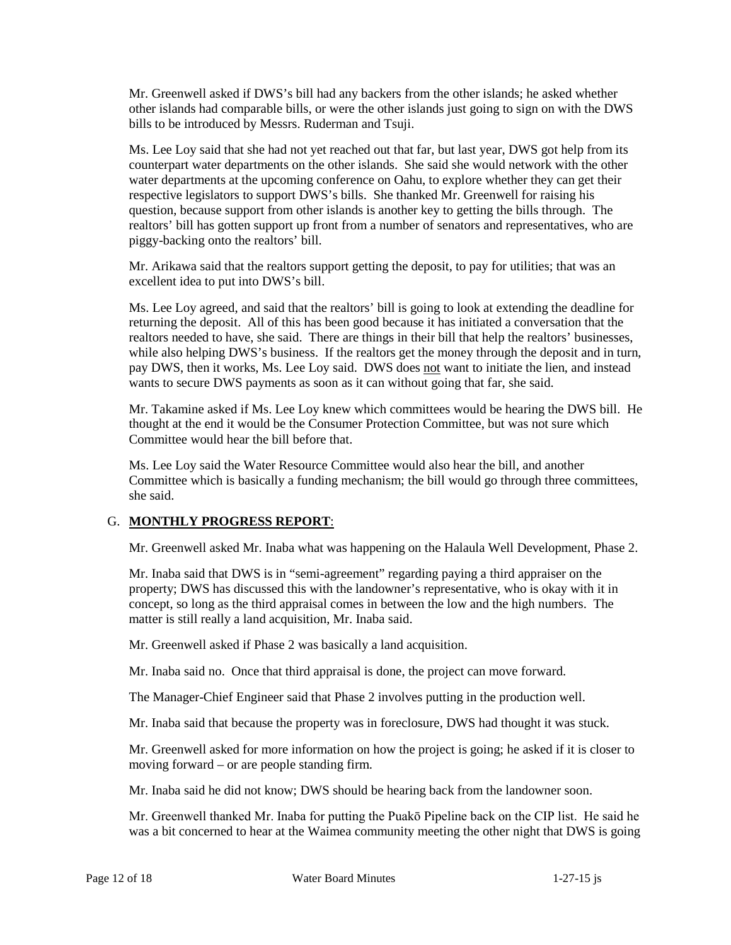Mr. Greenwell asked if DWS's bill had any backers from the other islands; he asked whether other islands had comparable bills, or were the other islands just going to sign on with the DWS bills to be introduced by Messrs. Ruderman and Tsuji.

Ms. Lee Loy said that she had not yet reached out that far, but last year, DWS got help from its counterpart water departments on the other islands. She said she would network with the other water departments at the upcoming conference on Oahu, to explore whether they can get their respective legislators to support DWS's bills. She thanked Mr. Greenwell for raising his question, because support from other islands is another key to getting the bills through. The realtors' bill has gotten support up front from a number of senators and representatives, who are piggy-backing onto the realtors' bill.

Mr. Arikawa said that the realtors support getting the deposit, to pay for utilities; that was an excellent idea to put into DWS's bill.

Ms. Lee Loy agreed, and said that the realtors' bill is going to look at extending the deadline for returning the deposit. All of this has been good because it has initiated a conversation that the realtors needed to have, she said. There are things in their bill that help the realtors' businesses, while also helping DWS's business. If the realtors get the money through the deposit and in turn, pay DWS, then it works, Ms. Lee Loy said. DWS does not want to initiate the lien, and instead wants to secure DWS payments as soon as it can without going that far, she said.

Mr. Takamine asked if Ms. Lee Loy knew which committees would be hearing the DWS bill. He thought at the end it would be the Consumer Protection Committee, but was not sure which Committee would hear the bill before that.

Ms. Lee Loy said the Water Resource Committee would also hear the bill, and another Committee which is basically a funding mechanism; the bill would go through three committees, she said.

# G. **MONTHLY PROGRESS REPORT**:

Mr. Greenwell asked Mr. Inaba what was happening on the Halaula Well Development, Phase 2.

Mr. Inaba said that DWS is in "semi-agreement" regarding paying a third appraiser on the property; DWS has discussed this with the landowner's representative, who is okay with it in concept, so long as the third appraisal comes in between the low and the high numbers. The matter is still really a land acquisition, Mr. Inaba said.

Mr. Greenwell asked if Phase 2 was basically a land acquisition.

Mr. Inaba said no. Once that third appraisal is done, the project can move forward.

The Manager-Chief Engineer said that Phase 2 involves putting in the production well.

Mr. Inaba said that because the property was in foreclosure, DWS had thought it was stuck.

Mr. Greenwell asked for more information on how the project is going; he asked if it is closer to moving forward – or are people standing firm.

Mr. Inaba said he did not know; DWS should be hearing back from the landowner soon.

Mr. Greenwell thanked Mr. Inaba for putting the Puakō Pipeline back on the CIP list. He said he was a bit concerned to hear at the Waimea community meeting the other night that DWS is going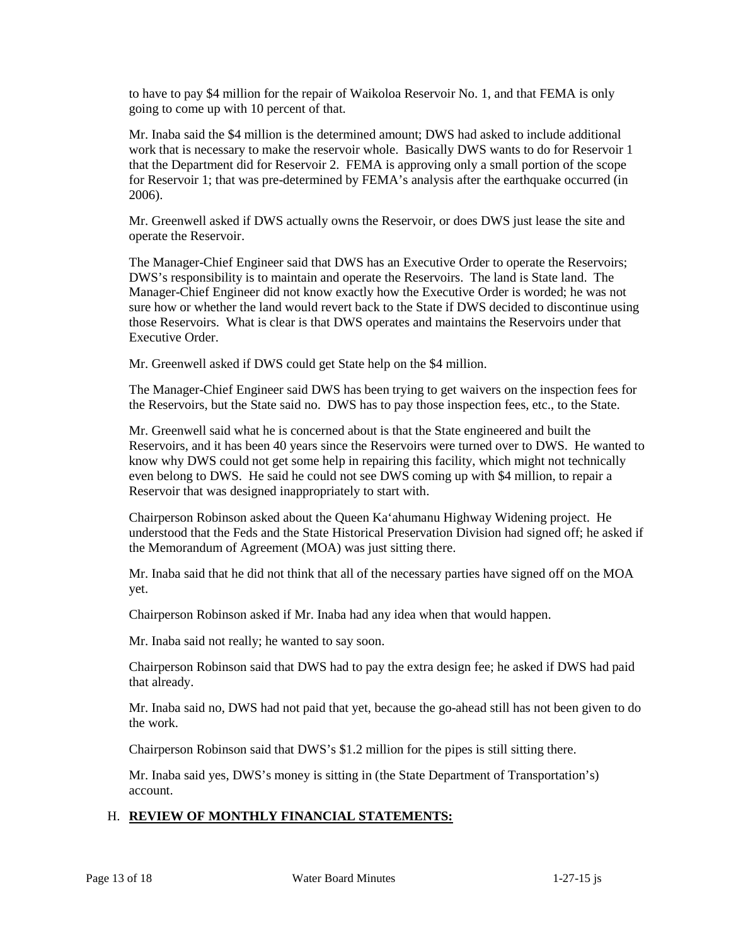to have to pay \$4 million for the repair of Waikoloa Reservoir No. 1, and that FEMA is only going to come up with 10 percent of that.

Mr. Inaba said the \$4 million is the determined amount; DWS had asked to include additional work that is necessary to make the reservoir whole. Basically DWS wants to do for Reservoir 1 that the Department did for Reservoir 2. FEMA is approving only a small portion of the scope for Reservoir 1; that was pre-determined by FEMA's analysis after the earthquake occurred (in 2006).

Mr. Greenwell asked if DWS actually owns the Reservoir, or does DWS just lease the site and operate the Reservoir.

The Manager-Chief Engineer said that DWS has an Executive Order to operate the Reservoirs; DWS's responsibility is to maintain and operate the Reservoirs. The land is State land. The Manager-Chief Engineer did not know exactly how the Executive Order is worded; he was not sure how or whether the land would revert back to the State if DWS decided to discontinue using those Reservoirs. What is clear is that DWS operates and maintains the Reservoirs under that Executive Order.

Mr. Greenwell asked if DWS could get State help on the \$4 million.

The Manager-Chief Engineer said DWS has been trying to get waivers on the inspection fees for the Reservoirs, but the State said no. DWS has to pay those inspection fees, etc., to the State.

Mr. Greenwell said what he is concerned about is that the State engineered and built the Reservoirs, and it has been 40 years since the Reservoirs were turned over to DWS. He wanted to know why DWS could not get some help in repairing this facility, which might not technically even belong to DWS. He said he could not see DWS coming up with \$4 million, to repair a Reservoir that was designed inappropriately to start with.

Chairperson Robinson asked about the Queen Ka'ahumanu Highway Widening project. He understood that the Feds and the State Historical Preservation Division had signed off; he asked if the Memorandum of Agreement (MOA) was just sitting there.

Mr. Inaba said that he did not think that all of the necessary parties have signed off on the MOA yet.

Chairperson Robinson asked if Mr. Inaba had any idea when that would happen.

Mr. Inaba said not really; he wanted to say soon.

Chairperson Robinson said that DWS had to pay the extra design fee; he asked if DWS had paid that already.

Mr. Inaba said no, DWS had not paid that yet, because the go-ahead still has not been given to do the work.

Chairperson Robinson said that DWS's \$1.2 million for the pipes is still sitting there.

Mr. Inaba said yes, DWS's money is sitting in (the State Department of Transportation's) account.

# H. **REVIEW OF MONTHLY FINANCIAL STATEMENTS:**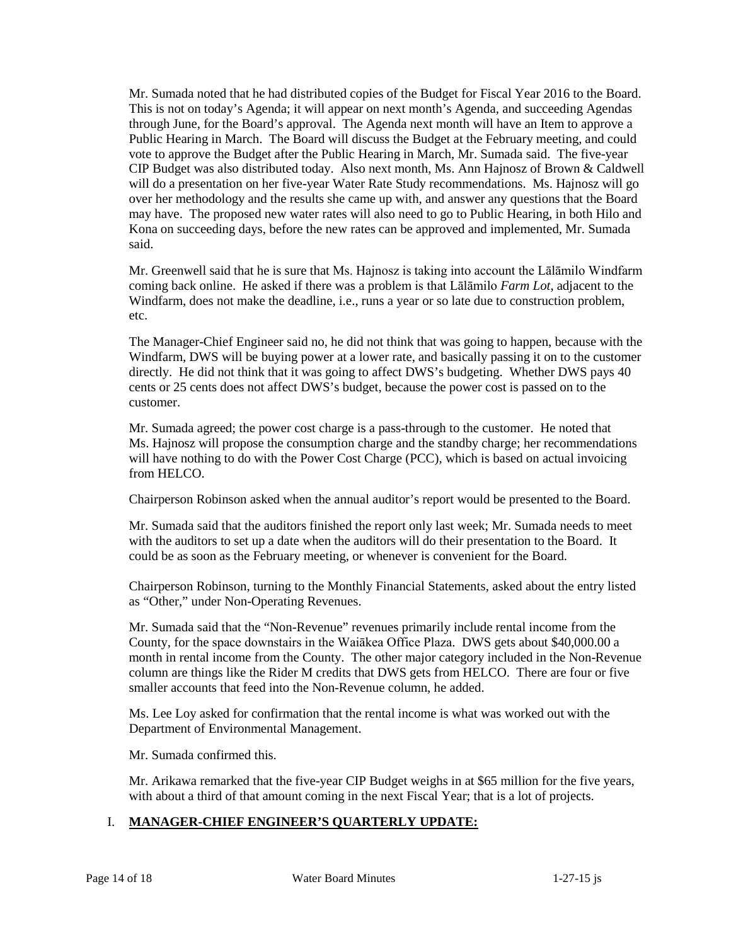Mr. Sumada noted that he had distributed copies of the Budget for Fiscal Year 2016 to the Board. This is not on today's Agenda; it will appear on next month's Agenda, and succeeding Agendas through June, for the Board's approval. The Agenda next month will have an Item to approve a Public Hearing in March. The Board will discuss the Budget at the February meeting, and could vote to approve the Budget after the Public Hearing in March, Mr. Sumada said. The five-year CIP Budget was also distributed today. Also next month, Ms. Ann Hajnosz of Brown & Caldwell will do a presentation on her five-year Water Rate Study recommendations. Ms. Hajnosz will go over her methodology and the results she came up with, and answer any questions that the Board may have. The proposed new water rates will also need to go to Public Hearing, in both Hilo and Kona on succeeding days, before the new rates can be approved and implemented, Mr. Sumada said.

Mr. Greenwell said that he is sure that Ms. Hajnosz is taking into account the Lālāmilo Windfarm coming back online. He asked if there was a problem is that Lālāmilo *Farm Lot*, adjacent to the Windfarm, does not make the deadline, i.e., runs a year or so late due to construction problem, etc.

The Manager-Chief Engineer said no, he did not think that was going to happen, because with the Windfarm, DWS will be buying power at a lower rate, and basically passing it on to the customer directly. He did not think that it was going to affect DWS's budgeting. Whether DWS pays 40 cents or 25 cents does not affect DWS's budget, because the power cost is passed on to the customer.

Mr. Sumada agreed; the power cost charge is a pass-through to the customer. He noted that Ms. Hajnosz will propose the consumption charge and the standby charge; her recommendations will have nothing to do with the Power Cost Charge (PCC), which is based on actual invoicing from HELCO.

Chairperson Robinson asked when the annual auditor's report would be presented to the Board.

Mr. Sumada said that the auditors finished the report only last week; Mr. Sumada needs to meet with the auditors to set up a date when the auditors will do their presentation to the Board. It could be as soon as the February meeting, or whenever is convenient for the Board.

Chairperson Robinson, turning to the Monthly Financial Statements, asked about the entry listed as "Other," under Non-Operating Revenues.

Mr. Sumada said that the "Non-Revenue" revenues primarily include rental income from the County, for the space downstairs in the Waiākea Office Plaza. DWS gets about \$40,000.00 a month in rental income from the County. The other major category included in the Non-Revenue column are things like the Rider M credits that DWS gets from HELCO. There are four or five smaller accounts that feed into the Non-Revenue column, he added.

Ms. Lee Loy asked for confirmation that the rental income is what was worked out with the Department of Environmental Management.

Mr. Sumada confirmed this.

Mr. Arikawa remarked that the five-year CIP Budget weighs in at \$65 million for the five years, with about a third of that amount coming in the next Fiscal Year; that is a lot of projects.

# I. **MANAGER-CHIEF ENGINEER'S QUARTERLY UPDATE:**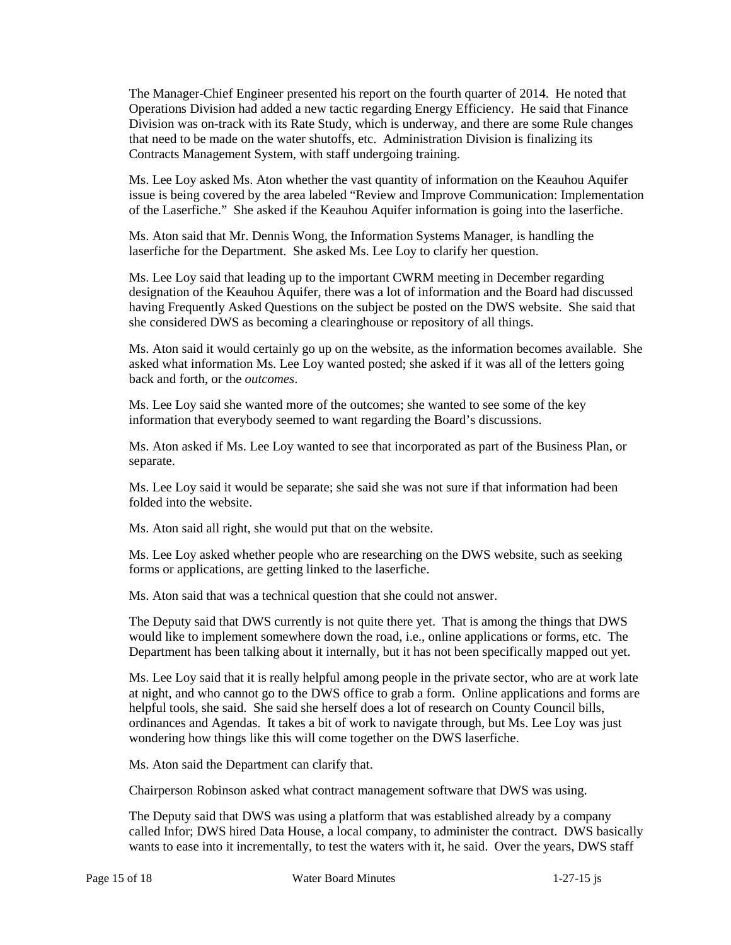The Manager-Chief Engineer presented his report on the fourth quarter of 2014. He noted that Operations Division had added a new tactic regarding Energy Efficiency. He said that Finance Division was on-track with its Rate Study, which is underway, and there are some Rule changes that need to be made on the water shutoffs, etc. Administration Division is finalizing its Contracts Management System, with staff undergoing training.

Ms. Lee Loy asked Ms. Aton whether the vast quantity of information on the Keauhou Aquifer issue is being covered by the area labeled "Review and Improve Communication: Implementation of the Laserfiche." She asked if the Keauhou Aquifer information is going into the laserfiche.

Ms. Aton said that Mr. Dennis Wong, the Information Systems Manager, is handling the laserfiche for the Department. She asked Ms. Lee Loy to clarify her question.

Ms. Lee Loy said that leading up to the important CWRM meeting in December regarding designation of the Keauhou Aquifer, there was a lot of information and the Board had discussed having Frequently Asked Questions on the subject be posted on the DWS website. She said that she considered DWS as becoming a clearinghouse or repository of all things.

Ms. Aton said it would certainly go up on the website, as the information becomes available. She asked what information Ms. Lee Loy wanted posted; she asked if it was all of the letters going back and forth, or the *outcomes*.

Ms. Lee Loy said she wanted more of the outcomes; she wanted to see some of the key information that everybody seemed to want regarding the Board's discussions.

Ms. Aton asked if Ms. Lee Loy wanted to see that incorporated as part of the Business Plan, or separate.

Ms. Lee Loy said it would be separate; she said she was not sure if that information had been folded into the website.

Ms. Aton said all right, she would put that on the website.

Ms. Lee Loy asked whether people who are researching on the DWS website, such as seeking forms or applications, are getting linked to the laserfiche.

Ms. Aton said that was a technical question that she could not answer.

The Deputy said that DWS currently is not quite there yet. That is among the things that DWS would like to implement somewhere down the road, i.e., online applications or forms, etc. The Department has been talking about it internally, but it has not been specifically mapped out yet.

Ms. Lee Loy said that it is really helpful among people in the private sector, who are at work late at night, and who cannot go to the DWS office to grab a form. Online applications and forms are helpful tools, she said. She said she herself does a lot of research on County Council bills, ordinances and Agendas. It takes a bit of work to navigate through, but Ms. Lee Loy was just wondering how things like this will come together on the DWS laserfiche.

Ms. Aton said the Department can clarify that.

Chairperson Robinson asked what contract management software that DWS was using.

The Deputy said that DWS was using a platform that was established already by a company called Infor; DWS hired Data House, a local company, to administer the contract. DWS basically wants to ease into it incrementally, to test the waters with it, he said. Over the years, DWS staff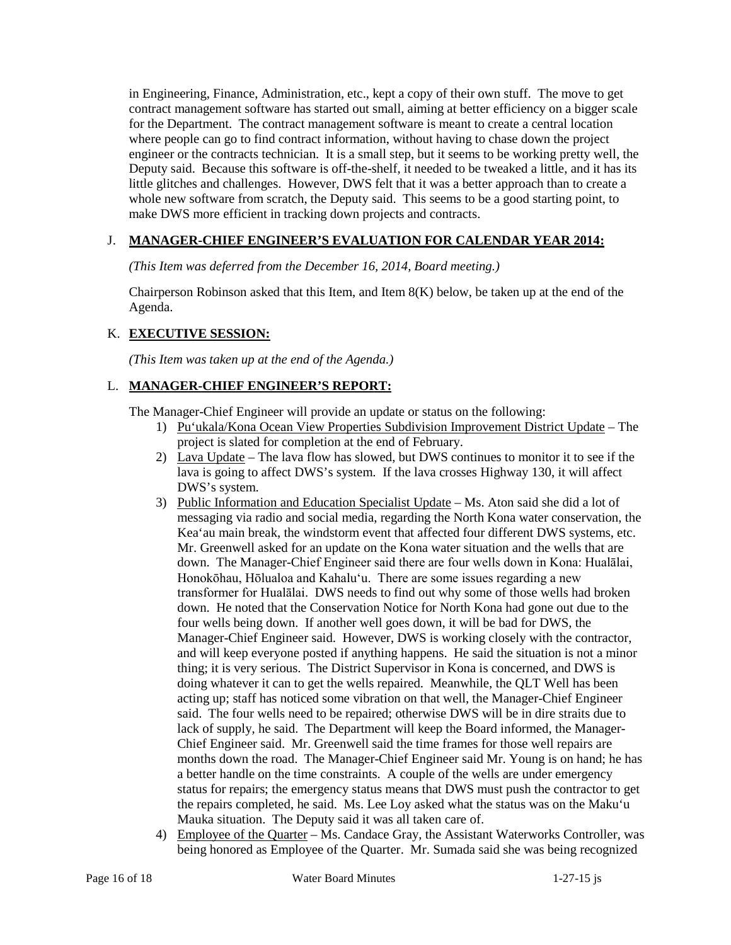in Engineering, Finance, Administration, etc., kept a copy of their own stuff. The move to get contract management software has started out small, aiming at better efficiency on a bigger scale for the Department. The contract management software is meant to create a central location where people can go to find contract information, without having to chase down the project engineer or the contracts technician. It is a small step, but it seems to be working pretty well, the Deputy said. Because this software is off-the-shelf, it needed to be tweaked a little, and it has its little glitches and challenges. However, DWS felt that it was a better approach than to create a whole new software from scratch, the Deputy said. This seems to be a good starting point, to make DWS more efficient in tracking down projects and contracts.

# J. **MANAGER-CHIEF ENGINEER'S EVALUATION FOR CALENDAR YEAR 2014:**

*(This Item was deferred from the December 16, 2014, Board meeting.)*

Chairperson Robinson asked that this Item, and Item  $8(K)$  below, be taken up at the end of the Agenda.

# K. **EXECUTIVE SESSION:**

*(This Item was taken up at the end of the Agenda.)*

# L. **MANAGER-CHIEF ENGINEER'S REPORT:**

The Manager-Chief Engineer will provide an update or status on the following:

- 1) Pu'ukala/Kona Ocean View Properties Subdivision Improvement District Update The project is slated for completion at the end of February.
- 2) Lava Update The lava flow has slowed, but DWS continues to monitor it to see if the lava is going to affect DWS's system. If the lava crosses Highway 130, it will affect DWS's system.
- 3) Public Information and Education Specialist Update Ms. Aton said she did a lot of messaging via radio and social media, regarding the North Kona water conservation, the Kea'au main break, the windstorm event that affected four different DWS systems, etc. Mr. Greenwell asked for an update on the Kona water situation and the wells that are down. The Manager-Chief Engineer said there are four wells down in Kona: Hualālai, Honokōhau, Hōlualoa and Kahalu'u. There are some issues regarding a new transformer for Hualālai. DWS needs to find out why some of those wells had broken down. He noted that the Conservation Notice for North Kona had gone out due to the four wells being down. If another well goes down, it will be bad for DWS, the Manager-Chief Engineer said. However, DWS is working closely with the contractor, and will keep everyone posted if anything happens. He said the situation is not a minor thing; it is very serious. The District Supervisor in Kona is concerned, and DWS is doing whatever it can to get the wells repaired. Meanwhile, the QLT Well has been acting up; staff has noticed some vibration on that well, the Manager-Chief Engineer said. The four wells need to be repaired; otherwise DWS will be in dire straits due to lack of supply, he said. The Department will keep the Board informed, the Manager-Chief Engineer said. Mr. Greenwell said the time frames for those well repairs are months down the road. The Manager-Chief Engineer said Mr. Young is on hand; he has a better handle on the time constraints. A couple of the wells are under emergency status for repairs; the emergency status means that DWS must push the contractor to get the repairs completed, he said. Ms. Lee Loy asked what the status was on the Maku'u Mauka situation. The Deputy said it was all taken care of.
- 4) Employee of the Quarter Ms. Candace Gray, the Assistant Waterworks Controller, was being honored as Employee of the Quarter. Mr. Sumada said she was being recognized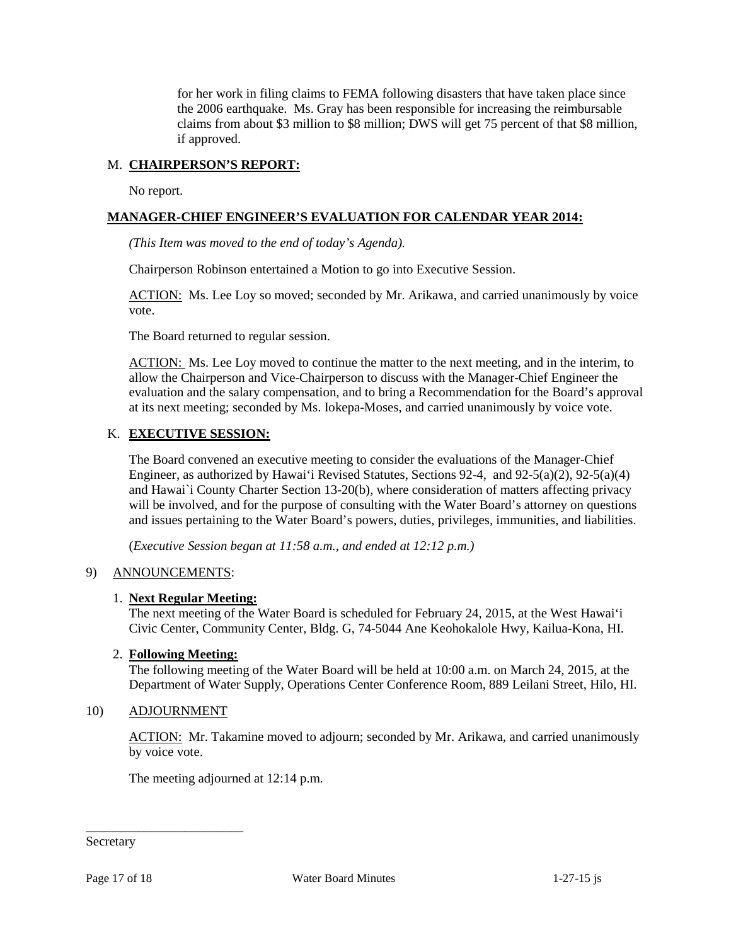for her work in filing claims to FEMA following disasters that have taken place since the 2006 earthquake. Ms. Gray has been responsible for increasing the reimbursable claims from about \$3 million to \$8 million; DWS will get 75 percent of that \$8 million, if approved.

# M. **CHAIRPERSON'S REPORT:**

No report.

# **MANAGER-CHIEF ENGINEER'S EVALUATION FOR CALENDAR YEAR 2014:**

*(This Item was moved to the end of today's Agenda).*

Chairperson Robinson entertained a Motion to go into Executive Session.

ACTION: Ms. Lee Loy so moved; seconded by Mr. Arikawa, and carried unanimously by voice vote.

The Board returned to regular session.

ACTION: Ms. Lee Loy moved to continue the matter to the next meeting, and in the interim, to allow the Chairperson and Vice-Chairperson to discuss with the Manager-Chief Engineer the evaluation and the salary compensation, and to bring a Recommendation for the Board's approval at its next meeting; seconded by Ms. Iokepa-Moses, and carried unanimously by voice vote.

# K. **EXECUTIVE SESSION:**

The Board convened an executive meeting to consider the evaluations of the Manager-Chief Engineer, as authorized by Hawai'i Revised Statutes, Sections 92-4, and 92-5(a)(2), 92-5(a)(4) and Hawai`i County Charter Section 13-20(b), where consideration of matters affecting privacy will be involved, and for the purpose of consulting with the Water Board's attorney on questions and issues pertaining to the Water Board's powers, duties, privileges, immunities, and liabilities.

(*Executive Session began at 11:58 a.m., and ended at 12:12 p.m.)*

### 9) ANNOUNCEMENTS:

### 1. **Next Regular Meeting:**

The next meeting of the Water Board is scheduled for February 24, 2015, at the West Hawai'i Civic Center, Community Center, Bldg. G, 74-5044 Ane Keohokalole Hwy, Kailua-Kona, HI.

### 2. **Following Meeting:**

The following meeting of the Water Board will be held at 10:00 a.m. on March 24, 2015, at the Department of Water Supply, Operations Center Conference Room, 889 Leilani Street, Hilo, HI.

### 10) ADJOURNMENT

\_\_\_\_\_\_\_\_\_\_\_\_\_\_\_\_\_\_\_\_\_\_\_\_

ACTION: Mr. Takamine moved to adjourn; seconded by Mr. Arikawa, and carried unanimously by voice vote.

The meeting adjourned at 12:14 p.m.

Secretary